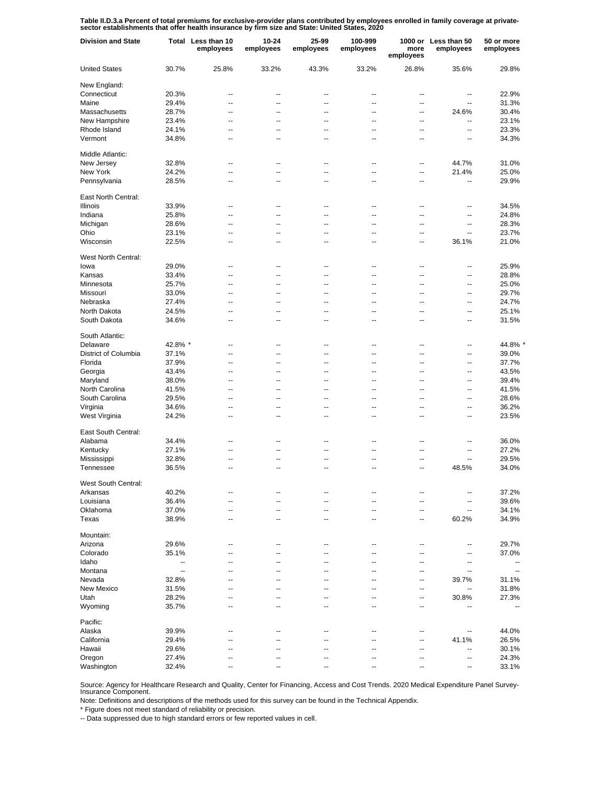Table II.D.3.a Percent of total premiums for exclusive-provider plans contributed by employees enrolled in family coverage at private-<br>sector establishments that offer health insurance by firm size and State: United States

| <b>Division and State</b> |                | Total Less than 10<br>employees | 10-24<br>employees | 25-99<br>employees       | 100-999<br>employees                       | more<br>employees        | 1000 or Less than 50<br>employees | 50 or more<br>employees  |
|---------------------------|----------------|---------------------------------|--------------------|--------------------------|--------------------------------------------|--------------------------|-----------------------------------|--------------------------|
| <b>United States</b>      | 30.7%          | 25.8%                           | 33.2%              | 43.3%                    | 33.2%                                      | 26.8%                    | 35.6%                             | 29.8%                    |
| New England:              |                |                                 |                    |                          |                                            |                          |                                   |                          |
| Connecticut               | 20.3%          | --                              | --                 | --                       | $\overline{\phantom{a}}$                   | --                       | --                                | 22.9%                    |
| Maine                     | 29.4%          | --                              | --                 | --                       | $\overline{\phantom{a}}$                   | --                       | $\overline{a}$                    | 31.3%                    |
| Massachusetts             | 28.7%          | --                              | --                 | --                       | $\overline{\phantom{a}}$                   | $\overline{a}$           | 24.6%                             | 30.4%                    |
| New Hampshire             | 23.4%          | --                              | --                 | --                       | $\overline{\phantom{a}}$                   | --                       | --                                | 23.1%                    |
| Rhode Island              | 24.1%          | --                              | --                 | --                       | $\overline{\phantom{a}}$                   | --                       | $\overline{a}$                    | 23.3%                    |
| Vermont                   | 34.8%          | --                              | --                 | --                       | $\overline{\phantom{a}}$                   | --                       | --                                | 34.3%                    |
| Middle Atlantic:          |                |                                 |                    |                          |                                            |                          |                                   |                          |
| New Jersey                | 32.8%          | $\overline{a}$                  | $\overline{a}$     | $\overline{a}$           | $\overline{a}$                             | --                       | 44.7%                             | 31.0%                    |
| New York                  | 24.2%          | $\overline{\phantom{a}}$        | $\ddotsc$          | $\overline{\phantom{a}}$ | $\overline{a}$                             | --                       | 21.4%                             | 25.0%                    |
| Pennsylvania              | 28.5%          | Ξ.                              | $\overline{a}$     | $\overline{a}$           | $\overline{\phantom{a}}$                   | $\overline{a}$           | ц,                                | 29.9%                    |
| East North Central:       |                |                                 |                    |                          |                                            |                          |                                   |                          |
| <b>Illinois</b>           | 33.9%          | --                              | ц.                 | ٠.                       | ٠.                                         | ц.                       | ٠.                                | 34.5%                    |
| Indiana                   | 25.8%          | --                              | --                 | --                       | $\overline{a}$                             | --                       | --                                | 24.8%                    |
| Michigan                  | 28.6%          | --                              | --                 | --                       | --                                         | --                       | --                                | 28.3%                    |
| Ohio                      | 23.1%          | --                              | --                 | --                       | $\overline{\phantom{a}}$                   | --                       | --                                | 23.7%                    |
| Wisconsin                 | 22.5%          | --                              | --                 | --                       | --                                         | --                       | 36.1%                             | 21.0%                    |
| West North Central:       |                |                                 |                    |                          |                                            |                          |                                   |                          |
| lowa                      | 29.0%          | --                              | --                 | --                       | $\overline{\phantom{a}}$                   | --                       | --                                | 25.9%                    |
| Kansas                    | 33.4%          | --                              | --                 | --                       | $\overline{\phantom{a}}$                   | --                       | --                                | 28.8%                    |
| Minnesota                 | 25.7%          | $\overline{a}$                  | $\overline{a}$     | $\overline{a}$           | $\overline{a}$                             | $\overline{a}$           | --                                | 25.0%                    |
| Missouri                  | 33.0%          | --                              | $\overline{a}$     | $\overline{a}$           | $\overline{a}$                             | $\overline{a}$           | --                                | 29.7%                    |
| Nebraska                  | 27.4%          | $\overline{a}$                  | $\overline{a}$     | $\overline{a}$           | $\overline{a}$                             | $\overline{a}$           | $\overline{a}$                    | 24.7%                    |
| North Dakota              | 24.5%          | --                              | --                 | --                       | $\overline{\phantom{a}}$                   | --                       | --                                | 25.1%                    |
| South Dakota              | 34.6%          | $\overline{a}$                  | $\overline{a}$     | $\overline{a}$           | $\overline{a}$                             | $\overline{a}$           | $\overline{a}$                    | 31.5%                    |
| South Atlantic:           |                |                                 |                    |                          |                                            |                          |                                   |                          |
| Delaware                  | 42.8% *        | $\overline{a}$                  | ц.                 | ٠.                       | ц.                                         | ц.                       | --                                | 44.8% *                  |
| District of Columbia      | 37.1%          | Ξ.                              | μ.                 | Ξ.                       | ÷.                                         | μ.                       | --                                | 39.0%                    |
| Florida                   | 37.9%          | $\overline{a}$                  | μ.                 | Ξ.                       | ÷.                                         | μ.                       | --                                | 37.7%                    |
| Georgia                   | 43.4%          | Ξ.                              | μ.                 | Ξ.                       | ÷.                                         | μ.                       | --                                | 43.5%                    |
| Maryland                  | 38.0%          | Ξ.                              | μ.                 | Ξ.                       | ÷.                                         | μ.                       | Ξ.                                | 39.4%                    |
| North Carolina            | 41.5%          | Ξ.                              | μ.                 | Ξ.                       | ÷.                                         | μ.                       | Ξ.                                | 41.5%                    |
| South Carolina            | 29.5%          | $\overline{a}$                  | $\overline{a}$     | $\overline{a}$           | $\overline{\phantom{a}}$                   | $\overline{a}$           | Ξ.                                | 28.6%                    |
| Virginia                  | 34.6%          | $\overline{a}$                  | $\overline{a}$     | $\overline{a}$           | $\overline{a}$                             | $\overline{a}$           | --                                | 36.2%                    |
| West Virginia             | 24.2%          | Ξ.                              | $\overline{a}$     | $\overline{a}$           | $\overline{\phantom{a}}$                   | $\overline{a}$           | --                                | 23.5%                    |
| East South Central:       |                |                                 |                    |                          |                                            |                          |                                   |                          |
| Alabama                   | 34.4%          | --                              | ц.                 | ٠.                       | ц.                                         | ц.                       | --                                | 36.0%                    |
| Kentucky                  | 27.1%          | --                              | --                 | --                       | --                                         | --                       | --                                | 27.2%                    |
| Mississippi               | 32.8%          | --                              | --                 | --                       | --                                         | ٠.                       | --                                | 29.5%                    |
| Tennessee                 | 36.5%          | --                              | ٠.                 | --                       | --                                         | --                       | 48.5%                             | 34.0%                    |
|                           |                |                                 |                    |                          |                                            |                          |                                   |                          |
| West South Central:       |                |                                 |                    |                          |                                            |                          |                                   |                          |
| Arkansas                  | 40.2%          | --                              | --                 | --                       | --                                         | --                       | --                                | 37.2%                    |
| Louisiana                 | 36.4%          | --                              | $\overline{a}$     | --                       | $\overline{\phantom{a}}$                   | --                       | --                                | 39.6%                    |
| Oklahoma<br>Texas         | 37.0%<br>38.9% | --<br>--                        | --<br>--           | $\overline{a}$<br>--     | $\overline{a}$<br>$\overline{\phantom{a}}$ | $\overline{a}$<br>--     | --<br>60.2%                       | 34.1%<br>34.9%           |
|                           |                |                                 |                    |                          |                                            |                          |                                   |                          |
| Mountain:                 |                |                                 |                    |                          |                                            |                          |                                   |                          |
| Arizona                   | 29.6%          | --                              | ц.                 | ٠.                       | ц.                                         | ц.                       | --                                | 29.7%                    |
| Colorado                  | 35.1%          | Ξ.                              | ц,                 | ц.                       | Ξ.                                         | ц,                       | --                                | 37.0%                    |
| Idaho                     | --             | Ξ.                              | ц,                 | ц.                       | Ξ.                                         | $\overline{a}$           | --                                | $\overline{\phantom{a}}$ |
| Montana                   | --             | Ξ.                              | ц,                 | ц.                       | Ξ.                                         | $\overline{a}$           | --                                | $\overline{\phantom{a}}$ |
| Nevada                    | 32.8%          | ۵.                              | ц,                 | ц.                       | Ξ.                                         | $\overline{a}$           | 39.7%                             | 31.1%                    |
| New Mexico                | 31.5%          | ۵.                              | ц,                 | ц.                       | Ξ.                                         | --                       | --                                | 31.8%                    |
| Utah                      | 28.2%          | ۵.                              | μ.                 | Ξ.                       | ÷.                                         | --                       | 30.8%                             | 27.3%                    |
| Wyoming                   | 35.7%          | ۵.                              | Ц.                 | Ц.                       | Ξ.                                         | $\overline{\phantom{a}}$ | --                                | --                       |
| Pacific:                  |                |                                 |                    |                          |                                            |                          |                                   |                          |
| Alaska                    | 39.9%          | --                              | ٠.                 | --                       | ٠.                                         | --                       | --                                | 44.0%                    |
| California                | 29.4%          | --                              |                    |                          |                                            | --                       | 41.1%                             | 26.5%                    |
| Hawaii                    | 29.6%          | --                              | --                 | --                       | --                                         | --                       | --                                | 30.1%                    |
| Oregon                    | 27.4%          | --                              | ٠.                 | --                       | ٠.                                         | --                       | --                                | 24.3%                    |
| Washington                | 32.4%          | --                              | --                 | --                       | --                                         | --                       | --                                | 33.1%                    |

Source: Agency for Healthcare Research and Quality, Center for Financing, Access and Cost Trends. 2020 Medical Expenditure Panel Survey-Insurance Component.

Note: Definitions and descriptions of the methods used for this survey can be found in the Technical Appendix.

\* Figure does not meet standard of reliability or precision.

-- Data suppressed due to high standard errors or few reported values in cell.